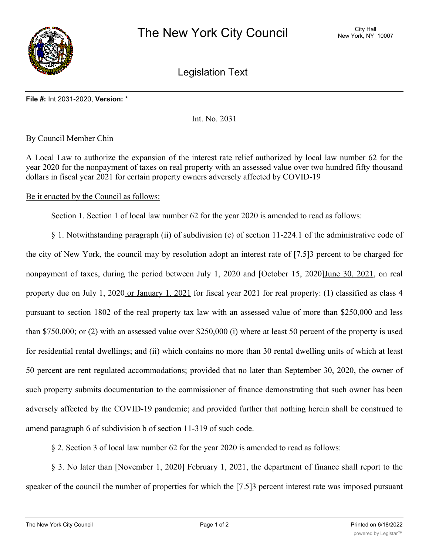

Legislation Text

## **File #:** Int 2031-2020, **Version:** \*

Int. No. 2031

By Council Member Chin

A Local Law to authorize the expansion of the interest rate relief authorized by local law number 62 for the year 2020 for the nonpayment of taxes on real property with an assessed value over two hundred fifty thousand dollars in fiscal year 2021 for certain property owners adversely affected by COVID-19

Be it enacted by the Council as follows:

Section 1. Section 1 of local law number 62 for the year 2020 is amended to read as follows:

§ 1. Notwithstanding paragraph (ii) of subdivision (e) of section 11-224.1 of the administrative code of the city of New York, the council may by resolution adopt an interest rate of [7.5]3 percent to be charged for nonpayment of taxes, during the period between July 1, 2020 and [October 15, 2020]June 30, 2021, on real property due on July 1, 2020 or January 1, 2021 for fiscal year 2021 for real property: (1) classified as class 4 pursuant to section 1802 of the real property tax law with an assessed value of more than \$250,000 and less than \$750,000; or (2) with an assessed value over \$250,000 (i) where at least 50 percent of the property is used for residential rental dwellings; and (ii) which contains no more than 30 rental dwelling units of which at least 50 percent are rent regulated accommodations; provided that no later than September 30, 2020, the owner of such property submits documentation to the commissioner of finance demonstrating that such owner has been adversely affected by the COVID-19 pandemic; and provided further that nothing herein shall be construed to amend paragraph 6 of subdivision b of section 11-319 of such code.

§ 2. Section 3 of local law number 62 for the year 2020 is amended to read as follows:

§ 3. No later than [November 1, 2020] February 1, 2021, the department of finance shall report to the speaker of the council the number of properties for which the [7.5]3 percent interest rate was imposed pursuant